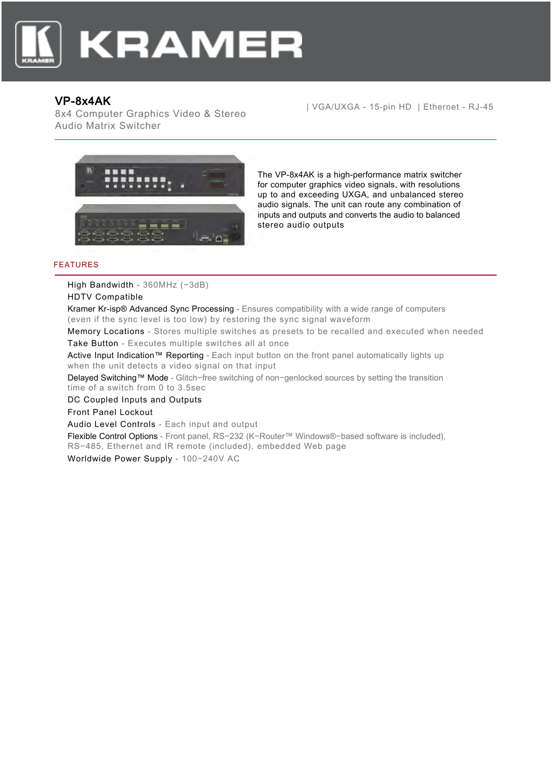

# VP-8x4AK

8x4 Computer Graphics Video & Stereo Audio Matrix Switcher

| VGA/UXGA - 15-pin HD | Ethernet - RJ-45



The VP-8x4AK is a high-performance matrix switcher for computer graphics video signals, with resolutions up to and exceeding UXGA, and unbalanced stereo audio signals. The unit can route any combination of inputs and outputs and converts the audio to balanced stereo audio outputs

## FEATURES

High Bandwidth - 360MHz (-3dB)

### HDTV Compatible

Kramer Kr-isp® Advanced Sync Processing - Ensures compatibility with a wide range of computers (even if the sync level is too low) by restoring the sync signal waveform

Memory Locations - Stores multiple switches as presets to be recalled and executed when needed Take Button - Executes multiple switches all at once

Active Input Indication™ Reporting - Each input button on the front panel automatically lights up when the unit detects a video signal on that input

Delayed Switching™ Mode - Glitch−free switching of non−genlocked sources by setting the transition time of a switch from 0 to 3.5sec

#### DC Coupled Inputs and Outputs

Front Panel Lockout

Audio Level Controls - Each input and output

Flexible Control Options - Front panel, RS−232 (K−Router™ Windows®−based software is included),

RS−485, Ethernet and IR remote (included), embedded Web page

Worldwide Power Supply - 100−240V AC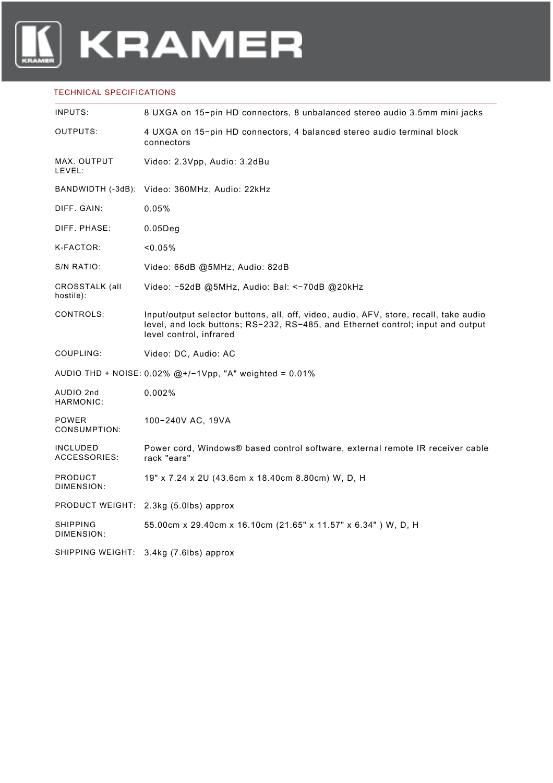

## TECHNICAL SPECIFICATIONS

| INPUTS:                         | 8 UXGA on 15-pin HD connectors, 8 unbalanced stereo audio 3.5mm mini jacks                                                                                                                          |
|---------------------------------|-----------------------------------------------------------------------------------------------------------------------------------------------------------------------------------------------------|
| OUTPUTS:                        | 4 UXGA on 15-pin HD connectors, 4 balanced stereo audio terminal block<br>connectors                                                                                                                |
| MAX. OUTPUT<br>LEVEL:           | Video: 2.3Vpp, Audio: 3.2dBu                                                                                                                                                                        |
|                                 | BANDWIDTH (-3dB): Video: 360MHz, Audio: 22kHz                                                                                                                                                       |
| DIFF. GAIN:                     | 0.05%                                                                                                                                                                                               |
| DIFF. PHASE:                    | $0.05$ Deg                                                                                                                                                                                          |
| K-FACTOR:                       | $0.05\%$                                                                                                                                                                                            |
| S/N RATIO:                      | Video: 66dB @5MHz, Audio: 82dB                                                                                                                                                                      |
| CROSSTALK (all<br>hostile):     | Video: -52dB @5MHz, Audio: Bal: <-70dB @20kHz                                                                                                                                                       |
| CONTROLS:                       | Input/output selector buttons, all, off, video, audio, AFV, store, recall, take audio<br>level, and lock buttons; RS-232, RS-485, and Ethernet control; input and output<br>level control, infrared |
| COUPLING:                       | Video: DC, Audio: AC                                                                                                                                                                                |
|                                 | AUDIO THD + NOISE: $0.02\%$ @+/-1Vpp, "A" weighted = 0.01%                                                                                                                                          |
| AUDIO 2nd<br>HARMONIC:          | 0.002%                                                                                                                                                                                              |
| <b>POWER</b><br>CONSUMPTION:    | 100-240V AC, 19VA                                                                                                                                                                                   |
| <b>INCLUDED</b><br>ACCESSORIES: | Power cord, Windows® based control software, external remote IR receiver cable<br>rack "ears"                                                                                                       |
| <b>PRODUCT</b><br>DIMENSION:    | 19" x 7.24 x 2U (43.6cm x 18.40cm 8.80cm) W, D, H                                                                                                                                                   |
| <b>PRODUCT WEIGHT:</b>          | 2.3kg (5.0lbs) approx                                                                                                                                                                               |
| <b>SHIPPING</b><br>DIMENSION:   | 55.00cm x 29.40cm x 16.10cm (21.65" x 11.57" x 6.34") W, D, H                                                                                                                                       |
| SHIPPING WEIGHT:                | $3.4$ kg $(7.6$ lbs) approx                                                                                                                                                                         |